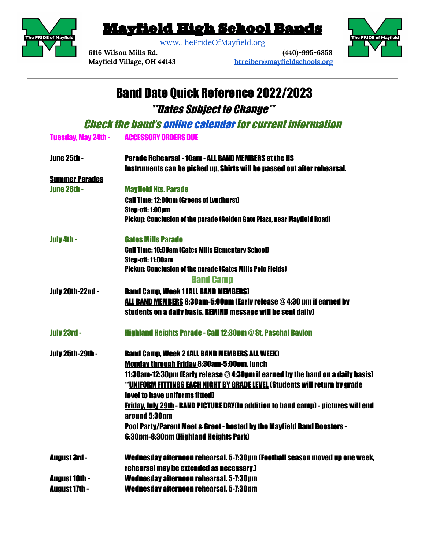

## Mayfield High School Bands

[www.ThePrideOfMayfield.org](http://www.theprideofmayfield.org)



**6116 Wilson Mills Rd. (440)-995-6858 Mayfield Village, OH 44143 [btreiber@mayfieldschools.org](mailto:btreiber@mayfieldschools.org)**

## Band Date Quick Reference 2022/2023 \*\*Dates Subject to Change\*\*

**Check the band's online [calendar](https://www.theprideofmayfield.org/calendar.html) for current information** 

| <b>ACCESSORY ORDERS DUE</b><br><b>Tuesday, May 24th -</b> |
|-----------------------------------------------------------|
|-----------------------------------------------------------|

| <b>June 25th -</b>      | <b>Parade Rehearsal - 10am - ALL BAND MEMBERS at the HS</b>                                                |
|-------------------------|------------------------------------------------------------------------------------------------------------|
|                         | Instruments can be picked up. Shirts will be passed out after rehearsal.                                   |
| <b>Summer Parades</b>   |                                                                                                            |
| <b>June 26th -</b>      | <b>Mayfield Hts. Parade</b>                                                                                |
|                         | <b>Call Time: 12:00pm (Greens of Lyndhurst)</b>                                                            |
|                         | Step-off: 1:00pm                                                                                           |
|                         | Pickup: Conclusion of the parade (Golden Gate Plaza, near Mayfield Road)                                   |
| July 4th -              | <b>Gates Mills Parade</b>                                                                                  |
|                         | <b>Call Time: 10:00am (Gates Mills Elementary School)</b>                                                  |
|                         | Step-off: 11:00am                                                                                          |
|                         | <b>Pickup: Conclusion of the parade (Gates Mills Polo Fields)</b>                                          |
|                         | <b>Band Camp</b>                                                                                           |
| <b>July 20th-22nd -</b> | <b>Band Camp, Week 1 (ALL BAND MEMBERS)</b>                                                                |
|                         | ALL BAND MEMBERS 8:30am-5:00pm (Early release @4:30 pm if earned by                                        |
|                         | students on a daily basis. REMIND message will be sent daily)                                              |
| <b>July 23rd -</b>      | <b>Highland Heights Parade - Call 12:30pm @ St. Paschal Baylon</b>                                         |
| <b>July 25th-29th -</b> | <b>Band Camp. Week 2 (ALL BAND MEMBERS ALL WEEK)</b>                                                       |
|                         | <b>Monday through Friday 8:30am-5:00pm, lunch</b>                                                          |
|                         | 11:30am-12:30pm (Early release @4:30pm if earned by the band on a daily basis)                             |
|                         | <u>"UNIFORM FITTINGS EACH NIGHT BY GRADE LEVEL</u> (Students will return by grade                          |
|                         | <b>level to have uniforms fitted)</b>                                                                      |
|                         | <b>Friday, July 29th - BAND PICTURE DAY(In addition to band camp) - pictures will end</b><br>around 5:30pm |
|                         | <b>Pool Party/Parent Meet &amp; Greet - hosted by the Mayfield Band Boosters -</b>                         |
|                         | 6:30pm-8:30pm (Highland Heights Park)                                                                      |
| <b>August 3rd -</b>     | Wednesday afternoon rehearsal. 5-7:30pm (Football season moved up one week,                                |
|                         | rehearsal may be extended as necessary.)                                                                   |
| <b>August 10th -</b>    | Wednesday afternoon rehearsal, 5-7:30pm                                                                    |
| <b>August 17th -</b>    | Wednesday afternoon rehearsal. 5-7:30pm                                                                    |
|                         |                                                                                                            |